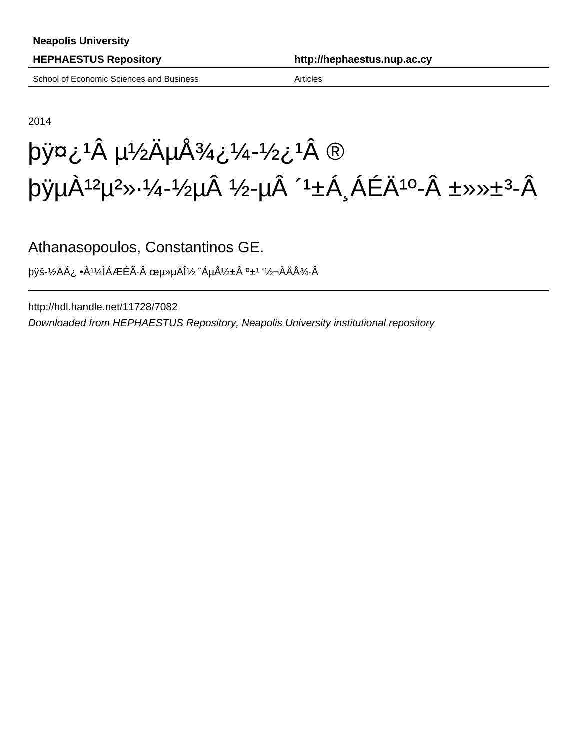| <b>Neapolis University</b>                                               |  |                                                                                                                                                                       |  |
|--------------------------------------------------------------------------|--|-----------------------------------------------------------------------------------------------------------------------------------------------------------------------|--|
| <b>HEPHAESTUS Repository</b><br>School of Economic Sciences and Business |  | http://hephaestus.nup.ac.cy                                                                                                                                           |  |
|                                                                          |  | <b>Articles</b>                                                                                                                                                       |  |
|                                                                          |  |                                                                                                                                                                       |  |
| 2014                                                                     |  |                                                                                                                                                                       |  |
|                                                                          |  | $\pi$ by $\pi$ i $^1$ $\hat{A}$ $\mu$ $\frac{1}{2}$ $\ddot{A}$ $\mu$ $\ddot{A}$ $\frac{3}{4}$ $\ddot{c}$ $\frac{1}{4}$ $\frac{1}{2}$ $\ddot{c}$ $\ddot{A}$ $\ddot{B}$ |  |

## $p\ddot{y} \mu \dot{A}$ <sup>12</sup> $\mu$ <sup>2</sup>»·¼-½ $\mu \hat{A}$  ½- $\mu \dot{A}$  ´<sup>1</sup> ±Á  $\Delta A \dot{E}$

Athanasopoulos, Constantinos GE.

þÿš-½ÄÁ¿ •À¹¼ÌÁÆÉ÷ œµ»µÄν ˆÁµÅ½±Â º±¹ '½¬ÀÄž·Â

http://hdl.handle.net/11728/7082 Downloaded from HEPHAESTUS Repository, Neapolis University institutional repository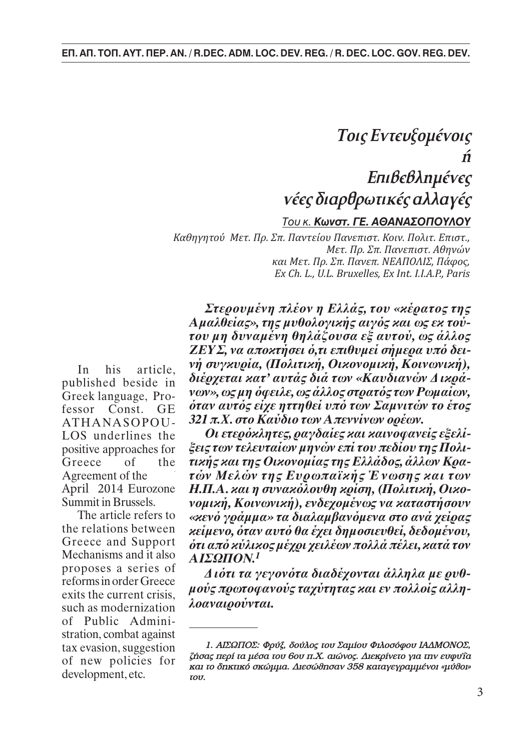accounting starts with the definition of the definition of the content of content of content of content of con

## rec*s orapopwrikes annayes* **TOU K. Κωνστ. ΓΕ. ΑΘΑΝΑΣΟΠΟΥΛΟΥ**  $E$ πιβεβλημένες  $\kappa$ ége Scaoloc  $\kappa$ ucég a $1$ νέες διαρθρωτικές αλλαγέ<u>ς</u> *Toις Εντευξομένοις ‹*

.<br>Καθηγητού Μετ. Πρ. Σπ. Παντείου Πανεπιστ. Κοιν. Πολιτ. Επιστ., *1. Introductory approach: Defining the concept Ex Ch.L., U.L. Bruxelles, Ex Int. I.I.A.P., Paris και Μετ. Πρ. Σπ. Πανεπ. ΝΕΑΠΟΛΙΣ, Πάφος,*  $\mathcal{A}$  $1.12 \times 10^{-4}$   $M_{\odot} = \pi$ ANTISTHENIS, the ancient Greek philosopher, (444 BC - 370 BC, Athens), *Ex Ch. L., U.L. Bruxelles, Ex Int. I.I.A.P., Paris Î·È MÂÙ. ¶Ú. ™. ¶·ÓÂ. AıËÓÒÓ, Μετ. Πρ. Σπ. Πανεπιστ. Αθηνών*

Στερουμένη πλέον η Ελλάς, του «κέρατος t Αμαλθείας», της μυθολογικής αιγός και ως εκ τούτου μη δυναμένη θηλάζουσα εξ αυτού, ως άλλος ΖΕΥΣ, να αποκτήσει ό,τι επιθυμεί σήμερα υπό δει-In his article. *νή συγκυρία, (Πολιτική, Οικονομική, Κοινωνική),* published beside in διέρχεται κατ' αυτάς διά των «Καυδιανών Δικρά-<u>νοτιέτου συνέναι τα *νων», ως μη όφειλε, ως άλλος στρατός των Pωμαίων,*</u> ATHANASOPOU - 321 π.Χ. στ*ο Καύδιο των Απεννίνων ορέων.* Based, therefore, on this "principle" in a first, if not final, approach, the term *Στερ�υµένη πλέ�ν η Eλλάς, τ�υ «κέρατ�ς της* The term gentrification is found at first in the UK in early 1960s and it refers to *�ταν αυτ�ς εί�ε ηττηθεί υπ� των Σαµνιτών τ� έτ�ς*

LOS underlines the *Oι ετερόχλητες, ραγδαίες και καινοφανείς εξελί*ositive approaches for *ξεις των τελευταίων μηνών επί του πεδίου της Πολι-*Agreement of the *τών Μελών της Eυρωπαϊκής Ένωσης και των* ερril 2014 Eurozone *H.Π.A. και η συνακόλουθη κρίση, (Πολιτική, Οικο*ummit in Brussels. *γομική, Κοινωνική), ενδεχομένως να καταστήσουν* The article refers to «κενό γράμμα» τα διαλαμβανόμενα στο ανά χείρας the relations between *κείμενο, όταν αυτό θα έχει δημοσιευθεί, δεδομένου,* ireece and Support *ότι από κύλικος μέχρι χειλέων πολλά πέλει, κατά τον* eece of the **τικής και της Οικονομίας της Ελλάδος, άλλων Κρα-**April 2014 Eurozone H.II.A. za n ovvazó Mechanisms and it also  $AIZQHON<sup>1</sup>$ *AIΣΩΠON.<sup>1</sup>*

 $\alpha$ its the current crisis μούς πρωτοφανούς ταχύτητας και εν πολλοίς αλληexits the current crisis,  $\theta$  *heavalop viral.*<br>such as modernization, *λοαναιρούνται.*  $\alpha$ <sub>y</sub> such as modernization  $\alpha$  *NOUVULDOVVIII.* pισροses a series of *Διότι τα γεγονότα διαδέχονται άλληλα με ρυθ-*

fessor Const. GE  $\partial \tau \alpha v$ Greece of the  $\tau \nu x \eta$ Greek language, Pro- $v^{\omega\nu}$ positive approaches for  $\mathcal{E}$ In his article, published beside in ATHANASOPOU-LOS underlines the Agreement of the Summit in Brussels.

*studies and research in Geneva, Prague, London and New York she came back to London, where* lower living cost of,"withdrawal" from private car easier access to markets, etc. of Public Admini*in 1943 she published studies regarding city planning. In 1950 she became teacher in the* According to another approach, the phenomenon is due to a systematic and stration, combat against The article refers to the relations between Greece and Support proposes a series of reforms in order Greece exits the current crisis, tax evasion, suggestion of new policies for development, etc.

stration, comoat against<br>tax evasion\_suggestion\_\_\_\_\_\_\_\_\_\_*1. AIEΩΠΟΣ: Φρύξ, δούλος του Σαμίου Φιλοσόφου ΙΑΔΜΟΝΟΣ, her work are characterized by a passion for justice. See also: COLLINS ENGLISH DICTIONARY.* of new policies for  $\frac{z}{2}$   $\frac{z}{2}$   $\frac{z}{2}$  and  $\frac{z}{2}$  and  $\frac{z}{2}$  and  $\frac{z}{2}$  and  $\frac{z}{2}$  and  $\frac{z}{2}$  are  $\frac{z}{2}$  and  $\frac{z}{2}$  are  $\frac{z}{2}$  and  $\frac{z}{2}$  are  $\frac{z}{2}$  and  $\frac{z}{2}$  are  $\frac{z}{2}$  and от пем ронетез тот и кај го дикико окојија. Дје од ного 358 ката е урајце од «ибдом»<br>development.etc.  $I$ *OU*.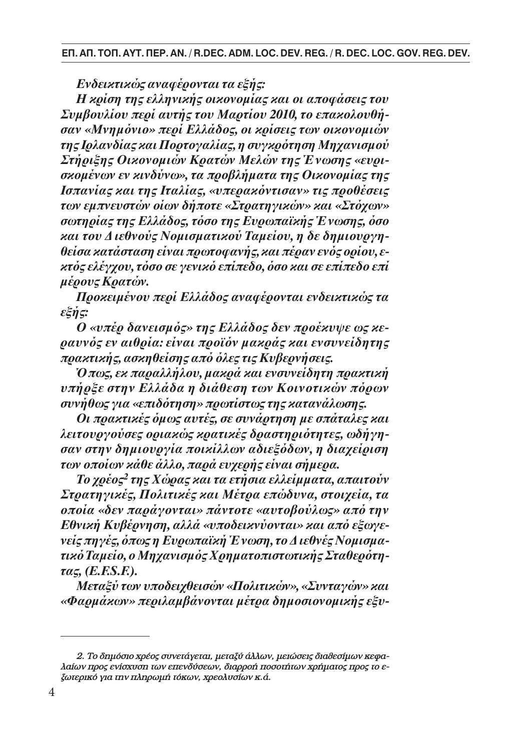*Eνδεικτικώς ανα�έρ�νται τα ε�ής:*

Ενδεικτικώς αναφέρονται τα εξής:<br>Η κρίση της ελληνικής οικονομίας και οι αποφάσεις του Συμβουλίου περί αυτής του Μαρτίου 2010, το επακολουθή-**Concerns** *της Iρλανδίας και Π�ρτ�γαλίας, η συγκρ�τηση Mη�ανισµ�ύ* By Mr. **George-Sp. C. ATHANASSOPOULOS** *των εµπνευστών �ίων δήπ�τε «Στρατηγικών» και «Στ��ων»* σωτηρίας της Ελλάδος, τόσο της Ευρωπαϊκής Ένωσης, όσο και του Διεθνούς Νομισματικού Ταμείου, η δε δημιουργη-*1. Introductory approach: Defining the concept*  ANTISTHENIS, the ancient Greek philosopher, (444 BC - 370 BC, Athens), *κτ�ς ελέγ��υ, τ�σ� σε γενικ� επίπεδ�, �σ� και σε επίπεδ� επί*  $\mu$ έρους Κρατών. By Mr. **George-Sp. C. ATHANASOPOULOS** *σκ�µένων εν κινδύνω», τα πρ��λήµατα της Oικ�ν�µίας της* Ισπανίας και της Ιταλίας, «υπερακόντισαν» τις προθέσεις *1. Introductory approach: Defining the concept θείσα κατάσταση είναι πρωτ��ανής, και πέραν εν�ς �ρί�υ, εσαν «Mνηµ�νι�» περί Eλλάδ�ς, �ι κρίσεις των �ικ�ν�µιών Στήρι�ης Oικ�ν�µιών Kρατών Mελών της Ένωσης «ευρι-*

Προκειμένου περί Ελλάδος αναφέρονται ενδεικτικώς τα  $\epsilon_n = \epsilon$  $\mathfrak{g}$  is the first, if not final, approach, if not final, approach, the term is not final, approach, the term is not final, approach, the term is not final, approach, the term is not final, approach, the term is not f *ε�ής:*

 $\overline{O}$  «υπέρ δανεισμός» της Ελλάδος δεν προέκυψε ως κεραυνός εν αιθρία: είναι προϊόν μακράς και ενσυνείδητης gav reger alegem errat ng eler pangag navere receptigg.<br>πρακτικής, ασκηθείσης από όλες τις Κυβερνήσεις.  $\mu$ *unting*, wong octogs who ones the income and the placement theories.

 $t_{\text{max}}$ , ex  $m_{\text{max}}$  over  $\mu$  and  $m_{\text{max}}$  are evolver than  $r_{\text{max}}$ πηρεε στην Ελλασα η οιαθεση των Κοινοτικων πορων υνηθως για «επιδοτηση» πρ the operation of art galleries,restaurants,etc.However this "change",regardless of *�πως, εκ παραλλήλ�υ, µακρά και ενσυνείδητη πρακτική* υπήρξε στην Ελλάδα η διάθεση των Κοινοτικών πόρων <u>σταφορά των</u> επι  $\rho$  *p*  $\rho$  *p*  $\rho$  *p*  $\rho$  *p*  $\rho$  *n*  $\rho$  *s*<sup> $\prime$ </sup> συνήθως για «επιδότηση» πρωτίστως της κατανάλωσης.

Οι πρακτικές όμως αυτές, σε συνάρτηση με σπάταλες και λειτουργούσες οριακώς κρατικές δραστηριότητες, ωδήγησαν στην δημιουργία ποικίλλων αδιεξόδων, η διαχείριση being indirectly "squeezed". A description of this phenomenon is included in the work of Sociologist Ruth *των �π�ίων κάθε άλλ�, παρά ευ�ερής είναι σήµερα.*

Το χρέος<sup>2</sup> της Χώρας και τα ετήσια ελλείμματα, απαιτούν GLASS at the same period, while similar situations were recorded in other major cities in Western countries, by other Researchers. *Στρατηγικές, Π�λιτικές και Mέτρα επώδυνα, στ�ι�εία, τα*   $\alpha$ cities  $\alpha$  in  $\alpha$  is  $\alpha$  in  $\alpha$  and  $\alpha$  and  $\alpha$  and  $\alpha$  is  $\alpha$  is  $\alpha$  is  $\alpha$  is  $\alpha$  is  $\alpha$  is  $\alpha$  is  $\alpha$  is  $\alpha$  is  $\alpha$  is  $\alpha$  is  $\alpha$  is  $\alpha$  is  $\alpha$  is  $\alpha$  is  $\alpha$  is  $\alpha$  is  $\alpha$  is  $\alpha$  is  $\alpha$  is  $\frac{1}{2}$  since the issue has presented several server several scholars and for its more interesting in  $\frac{1}{2}$  $\sigma$  over a property and the various summarized below the various summarized below,  $\sigma$ εις πηγες, οπως η Ευρωπαικη Ένωση, το Διεθνες Νομισμα-Since then, the issue has preoccupied several scholars and for its more *�π�ία «δεν παράγ�νται» πάντ�τε «αυτ���ύλως» απ� την* Εθνική Κυβέρνηση, αλλά «υποδεικνύονται» και από εξωγεinterpretations of the phenomenon of gentrification, the following: *νείς πηγές, �πως η Eυρωπαϊκή Ένωση, τ� ∆ιεθνές N�µισµα-* $I_{\text{S}}$  and  $I_{\text{S}}$  is due to a trend of a new category of a new category of a new category of social groups of  $I_{\text{S}}$ τικό Ταμείο, ο Μηχανισμός Χρηματοπιστωτικής Σταθερότη- $\tau\alpha$ ς, (E.F.S.F.).

Μεταξύ των υποδειχθεισών «Πολιτικών», «Συνταγών» και *Berlin, where she made her first studies. In 1932 she published an important study entitled:* «Φαρμάκον» περιλαμβάνονται μέτρα δημοσιονομικής εξυ-

<sup>2.</sup> Το δημόσιο χρέος συνετάγεται, μεταξύ άλλων, μειώσεις διαθεσίμων κεφα-2. Το υπροσκ προς συνετάγεται, μεταξύ απών, μεταστείς σταστείμων πειφα.<br>Λαίων προς ενίσχυση των επενδύσεων, διαρροή ποσοτήτων χρήματος προς το εлии V 1ро<sub>5</sub> с нолоон и V спетовоси V, опррон повойни V лрпринс, про, то с<br>ξωτερικό για την πληρωμή τόκων, χρεολυσίων κ.ά.